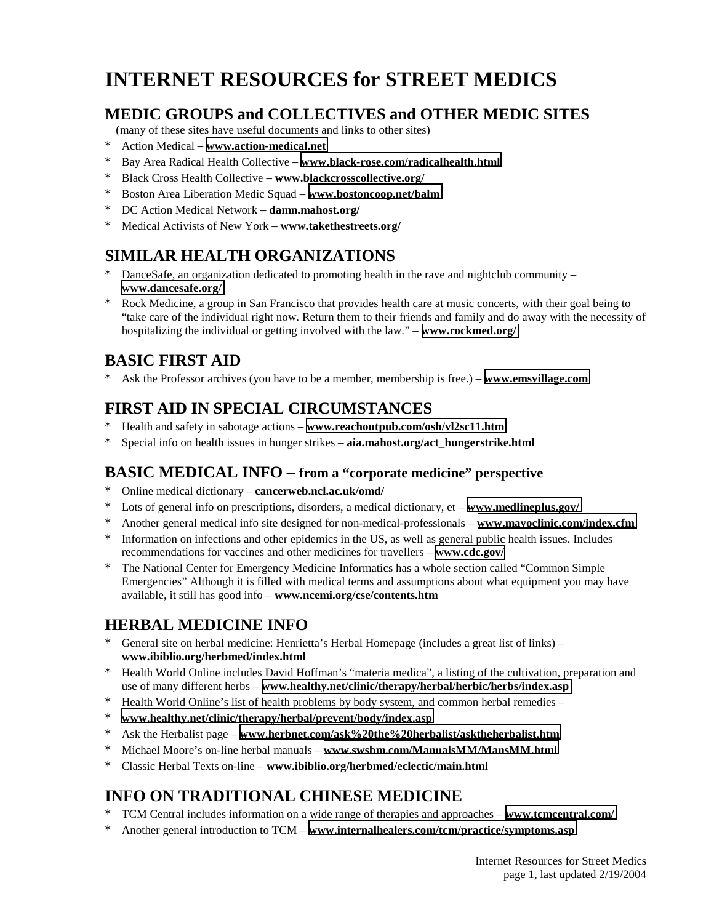# **INTERNET RESOURCES for STREET MEDICS**

#### **MEDIC GROUPS and COLLECTIVES and OTHER MEDIC SITES**

(many of these sites have useful documents and links to other sites)

- \* Action Medical **[www.action-medical.net](http://www.action-medical.net/)**
- \* Bay Area Radical Health Collective **[www.black-rose.com/radicalhealth.html](http://www.black-rose.com/radicalhealth.html)**
- \* Black Cross Health Collective **www.blackcrosscollective.org/**
- \* Boston Area Liberation Medic Squad **[www.bostoncoop.net/balm](http://www.bostoncoop.net/balm)**
- \* DC Action Medical Network **damn.mahost.org/**
- \* Medical Activists of New York **www.takethestreets.org/**

## **SIMILAR HEALTH ORGANIZATIONS**

- DanceSafe, an organization dedicated to promoting health in the rave and nightclub community **[www.dancesafe.org/](http://www.dancesafe.org/)**
- Rock Medicine, a group in San Francisco that provides health care at music concerts, with their goal being to "take care of the individual right now. Return them to their friends and family and do away with the necessity of hospitalizing the individual or getting involved with the law." – **[www.rockmed.org/](http://www.rockmed.org/)**

# **BASIC FIRST AID**

\* Ask the Professor archives (you have to be a member, membership is free.) – **[www.emsvillage.com](http://www.emsvillage.com/)**

# **FIRST AID IN SPECIAL CIRCUMSTANCES**

- \* Health and safety in sabotage actions **[www.reachoutpub.com/osh/vl2sc11.htm](http://www.reachoutpub.com/osh/vl2sc11.htm)**
- \* Special info on health issues in hunger strikes **aia.mahost.org/act\_hungerstrike.html**

#### **BASIC MEDICAL INFO – from a "corporate medicine" perspective**

- \* Online medical dictionary **cancerweb.ncl.ac.uk/omd/**
- Lots of general info on prescriptions, disorders, a medical dictionary, et **www.medlineplus.gov/**
- \* Another general medical info site designed for non-medical-professionals **[www.mayoclinic.com/index.cfm](http://www.mayoclinic.com/index.cfm)**
- \* Information on infections and other epidemics in the US, as well as general public health issues. Includes recommendations for vaccines and other medicines for travellers – **[www.cdc.gov/](http://www.cdc.gov/)**
- \* The National Center for Emergency Medicine Informatics has a whole section called "Common Simple Emergencies" Although it is filled with medical terms and assumptions about what equipment you may have available, it still has good info – **www.ncemi.org/cse/contents.htm**

## **HERBAL MEDICINE INFO**

- General site on herbal medicine: Henrietta's Herbal Homepage (includes a great list of links) **www.ibiblio.org/herbmed/index.html**
- \* Health World Online includes David Hoffman's "materia medica", a listing of the cultivation, preparation and use of many different herbs – **[www.healthy.net/clinic/therapy/herbal/herbic/herbs/index.asp](http://www.healthy.net/clinic/therapy/herbal/herbic/herbs/index.asp)**
- Health World Online's list of health problems by body system, and common herbal remedies –
- \* **[www.healthy.net/clinic/therapy/herbal/prevent/body/index.asp](http://www.healthy.net/clinic/therapy/herbal/prevent/body/index.asp)**
- \* Ask the Herbalist page **[www.herbnet.com/ask%20the%20herbalist/asktheherbalist.htm](http://www.herbnet.com/ask the herbalist/asktheherbalist.htm)**
- \* Michael Moore's on-line herbal manuals **[www.swsbm.com/ManualsMM/MansMM.html](http://www.swsbm.com/ManualsMM/MansMM.html)**
- \* Classic Herbal Texts on-line **www.ibiblio.org/herbmed/eclectic/main.html**

## **INFO ON TRADITIONAL CHINESE MEDICINE**

- \* TCM Central includes information on a wide range of therapies and approaches **[www.tcmcentral.com/](http://www.tcmcentral.com/)**
- \* Another general introduction to TCM **[www.internalhealers.com/tcm/practice/symptoms.asp](http://www.internalhealers.com/tcm/practice/symptoms.asp)**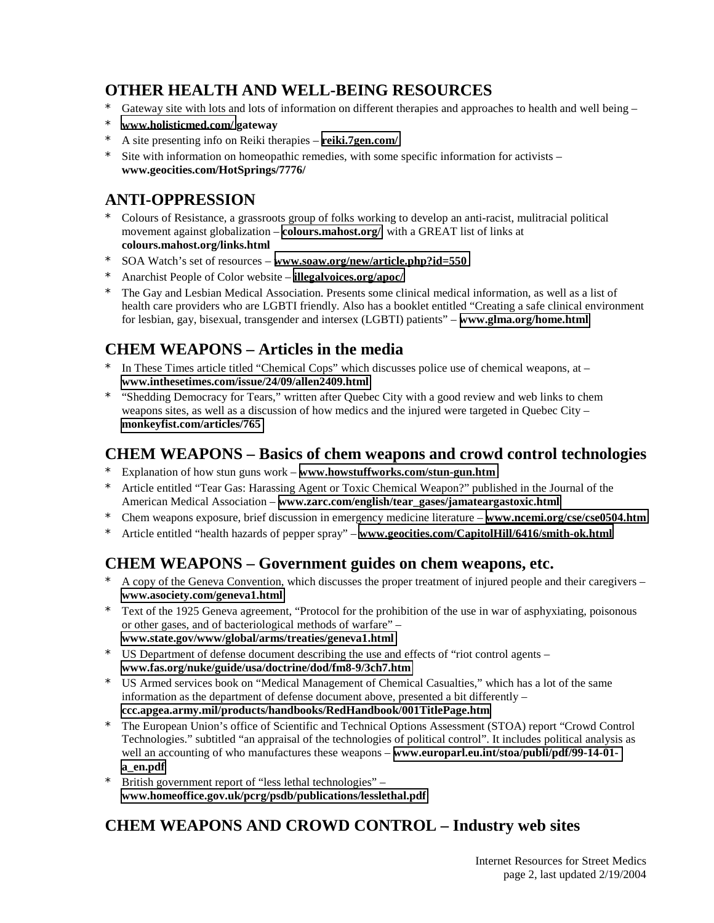## **OTHER HEALTH AND WELL-BEING RESOURCES**

- \* Gateway site with lots and lots of information on different therapies and approaches to health and well being –
- \* **[www.holisticmed.com/](http://www.holisticmed.com/) gateway**
- \* A site presenting info on Reiki therapies **[reiki.7gen.com/](http://reiki.7gen.com/)**
- Site with information on homeopathic remedies, with some specific information for activists **www.geocities.com/HotSprings/7776/**

## **ANTI-OPPRESSION**

- \* Colours of Resistance, a grassroots group of folks working to develop an anti-racist, mulitracial political movement against globalization – **[colours.mahost.org/](http://colours.mahost.org/)** with a GREAT list of links at **colours.mahost.org/links.html**
- \* SOA Watch's set of resources – **[www.soaw.org/new/article.php?id=550](http://www.soaw.org/new/article.php?id=550)**
- \* Anarchist People of Color website – **[illegalvoices.org/apoc/](http://illegalvoices.org/apoc/)**
- \* The Gay and Lesbian Medical Association. Presents some clinical medical information, as well as a list of health care providers who are LGBTI friendly. Also has a booklet entitled "Creating a safe clinical environment for lesbian, gay, bisexual, transgender and intersex (LGBTI) patients" – **[www.glma.org/home.html](http://www.glma.org/home.html)**

#### **CHEM WEAPONS – Articles in the media**

- In These Times article titled "Chemical Cops" which discusses police use of chemical weapons, at  $$ **[www.inthesetimes.com/issue/24/09/allen2409.html](http://www.inthesetimes.com/issue/24/09/allen2409.html)**
- \* "Shedding Democracy for Tears," written after Quebec City with a good review and web links to chem weapons sites, as well as a discussion of how medics and the injured were targeted in Quebec City – **[monkeyfist.com/articles/765](http://monkeyfist.com/articles/765)**

#### **CHEM WEAPONS – Basics of chem weapons and crowd control technologies**

- \* Explanation of how stun guns work **[www.howstuffworks.com/stun-gun.htm](http://www.howstuffworks.com/stun-gun.htm)**
- Article entitled "Tear Gas: Harassing Agent or Toxic Chemical Weapon?" published in the Journal of the American Medical Association – **[www.zarc.com/english/tear\\_gases/jamateargastoxic.html](http://www.zarc.com/english/tear_gases/jamateargastoxic.html)**
- \* Chem weapons exposure, brief discussion in emergency medicine literature **[www.ncemi.org/cse/cse0504.htm](http://www.ncemi.org/cse/cse0504.htm)**
- \* Article entitled "health hazards of pepper spray" **[www.geocities.com/CapitolHill/6416/smith-ok.html](http://www.geocities.com/CapitolHill/6416/smith-ok.html)**

## **CHEM WEAPONS – Government guides on chem weapons, etc.**

- A copy of the Geneva Convention, which discusses the proper treatment of injured people and their caregivers **[www.asociety.com/geneva1.html](http://www.asociety.com/geneva1.html)**
- Text of the 1925 Geneva agreement, "Protocol for the prohibition of the use in war of asphyxiating, poisonous or other gases, and of bacteriological methods of warfare" –
- **[www.state.gov/www/global/arms/treaties/geneva1.html](http://www.state.gov/www/global/arms/treaties/geneva1.html)**
- \* US Department of defense document describing the use and effects of "riot control agents **[www.fas.org/nuke/guide/usa/doctrine/dod/fm8-9/3ch7.htm](http://www.fas.org/nuke/guide/usa/doctrine/dod/fm8-9/3ch7.htm)**
- \* US Armed services book on "Medical Management of Chemical Casualties," which has a lot of the same information as the department of defense document above, presented a bit differently – **[ccc.apgea.army.mil/products/handbooks/RedHandbook/001TitlePage.htm](http://ccc.apgea.army.mil/products/handbooks/RedHandbook/001TitlePage.htm)**
- \* The European Union's office of Scientific and Technical Options Assessment (STOA) report "Crowd Control Technologies." subtitled "an appraisal of the technologies of political control". It includes political analysis as well an accounting of who manufactures these weapons – **[www.europarl.eu.int/stoa/publi/pdf/99-14-01](http://www.europarl.eu.int/stoa/publi/pdf/99-14-01-a_en.pdf) [a\\_en.pdf](http://www.europarl.eu.int/stoa/publi/pdf/99-14-01-a_en.pdf)**
- British government report of "less lethal technologies" **[www.homeoffice.gov.uk/pcrg/psdb/publications/lesslethal.pdf](http://www.homeoffice.gov.uk/pcrg/psdb/publications/lesslethal.pdf)**

# **CHEM WEAPONS AND CROWD CONTROL – Industry web sites**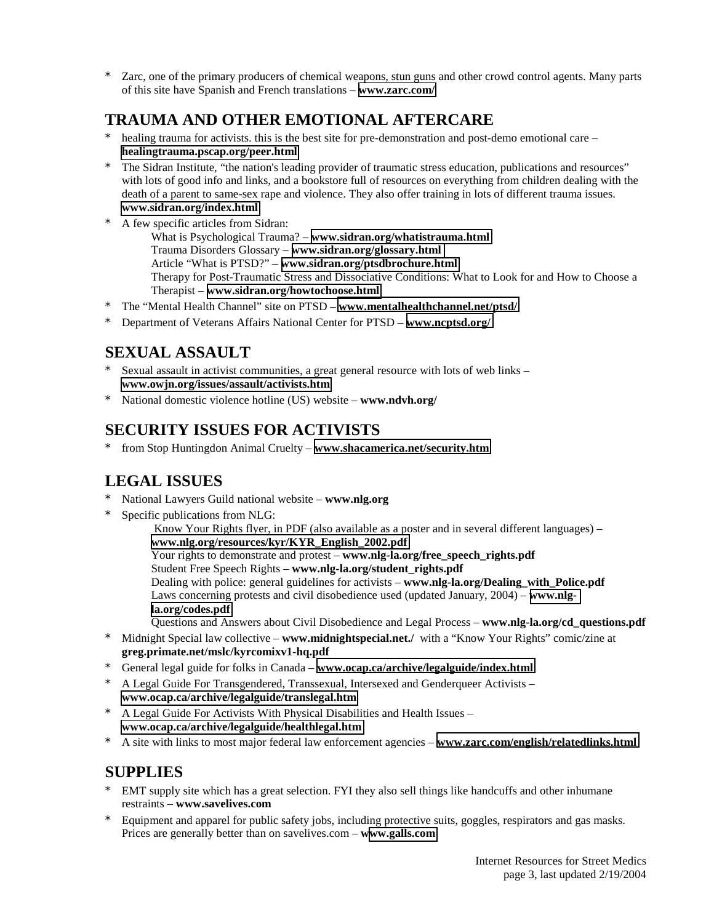\* Zarc, one of the primary producers of chemical weapons, stun guns and other crowd control agents. Many parts of this site have Spanish and French translations – **[www.zarc.com/](http://www.zarc.com/)**

## **TRAUMA AND OTHER EMOTIONAL AFTERCARE**

- healing trauma for activists, this is the best site for pre-demonstration and post-demo emotional care **[healingtrauma.pscap.org/peer.html](http://healingtrauma.pscap.org/peer.html)**
- The Sidran Institute, "the nation's leading provider of traumatic stress education, publications and resources" with lots of good info and links, and a bookstore full of resources on everything from children dealing with the death of a parent to same-sex rape and violence. They also offer training in lots of different trauma issues. **[www.sidran.org/index.html](http://www.sidran.org/index.html)**
- A few specific articles from Sidran: What is Psychological Trauma? – **[www.sidran.org/whatistrauma.html](http://www.sidran.org/whatistrauma.html)** Trauma Disorders Glossary – **[www.sidran.org/glossary.html](http://www.sidran.org/glossary.html)** Article "What is PTSD?" – **[www.sidran.org/ptsdbrochure.html](http://www.sidran.org/ptsdbrochure.html)**  Therapy for Post-Traumatic Stress and Dissociative Conditions: What to Look for and How to Choose a Therapist – **[www.sidran.org/howtochoose.html](http://www.sidran.org/howtochoose.html)**
- \* The "Mental Health Channel" site on PTSD **[www.mentalhealthchannel.net/ptsd/](http://www.mentalhealthchannel.net/ptsd/)**
- \* Department of Veterans Affairs National Center for PTSD **[www.ncptsd.org/](http://www.ncptsd.org/)**

## **SEXUAL ASSAULT**

- Sexual assault in activist communities, a great general resource with lots of web links **[www.owjn.org/issues/assault/activists.htm](http://www.owjn.org/issues/assault/activists.htm)**
- \* National domestic violence hotline (US) website **www.ndvh.org/**

## **SECURITY ISSUES FOR ACTIVISTS**

\* from Stop Huntingdon Animal Cruelty – **[www.shacamerica.net/security.htm](http://www.shacamerica.net/security.htm)**

#### **LEGAL ISSUES**

- \* National Lawyers Guild national website **www.nlg.org**
- Specific publications from NLG:

 Know Your Rights flyer, in PDF (also available as a poster and in several different languages) – **[www.nlg.org/resources/kyr/KYR\\_English\\_2002.pdf](http://www.nlg.org/resources/kyr/KYR_English_2002.pdf)** Your rights to demonstrate and protest – **www.nlg-la.org/free\_speech\_rights.pdf** Student Free Speech Rights – **www.nlg-la.org/student\_rights.pdf** Dealing with police: general guidelines for activists – **www.nlg-la.org/Dealing with Police.pdf** Laws concerning protests and civil disobedience used (updated January, 2004) – **[www.nlg](http://www.nlg-la.org/codes.pdf)[la.org/codes.pdf](http://www.nlg-la.org/codes.pdf)**  Questions and Answers about Civil Disobedience and Legal Process – **www.nlg-la.org/cd\_questions.pdf** 

- \* Midnight Special law collective **www.midnightspecial.net./** with a "Know Your Rights" comic/zine at **greg.primate.net/mslc/kyrcomixv1-hq.pdf**
- \* General legal guide for folks in Canada **[www.ocap.ca/archive/legalguide/index.html](http://www.ocap.ca/archive/legalguide/index.html)**
- A Legal Guide For Transgendered, Transsexual, Intersexed and Genderqueer Activists **[www.ocap.ca/archive/legalguide/translegal.htm](http://www.ocap.ca/archive/legalguide/translegal.htm)**
- \* A Legal Guide For Activists With Physical Disabilities and Health Issues **[www.ocap.ca/archive/legalguide/healthlegal.htm](http://www.ocap.ca/archive/legalguide/healthlegal.htm)**
- \* A site with links to most major federal law enforcement agencies **[www.zarc.com/english/relatedlinks.html](http://www.zarc.com/english/relatedlinks.html)**

#### **SUPPLIES**

- EMT supply site which has a great selection. FYI they also sell things like handcuffs and other inhumane restraints – **www.savelives.com**
- \* Equipment and apparel for public safety jobs, including protective suits, goggles, respirators and gas masks. Prices are generally better than on savelives.com – **w[ww.galls.com](http://www.galls.com/)**